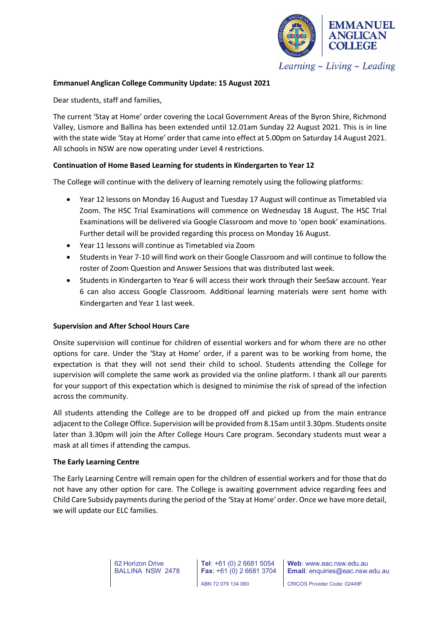

Learning  $\sim$  Living  $\sim$  Leading

# **Emmanuel Anglican College Community Update: 15 August 2021**

Dear students, staff and families,

The current 'Stay at Home' order covering the Local Government Areas of the Byron Shire, Richmond Valley, Lismore and Ballina has been extended until 12.01am Sunday 22 August 2021. This is in line with the state wide 'Stay at Home' order that came into effect at 5.00pm on Saturday 14 August 2021. All schools in NSW are now operating under Level 4 restrictions.

# **Continuation of Home Based Learning for students in Kindergarten to Year 12**

The College will continue with the delivery of learning remotely using the following platforms:

- Year 12 lessons on Monday 16 August and Tuesday 17 August will continue as Timetabled via Zoom. The HSC Trial Examinations will commence on Wednesday 18 August. The HSC Trial Examinations will be delivered via Google Classroom and move to 'open book' examinations. Further detail will be provided regarding this process on Monday 16 August.
- Year 11 lessons will continue as Timetabled via Zoom
- Students in Year 7-10 will find work on their Google Classroom and will continue to follow the roster of Zoom Question and Answer Sessions that was distributed last week.
- Students in Kindergarten to Year 6 will access their work through their SeeSaw account. Year 6 can also access Google Classroom. Additional learning materials were sent home with Kindergarten and Year 1 last week.

## **Supervision and After School Hours Care**

Onsite supervision will continue for children of essential workers and for whom there are no other options for care. Under the 'Stay at Home' order, if a parent was to be working from home, the expectation is that they will not send their child to school. Students attending the College for supervision will complete the same work as provided via the online platform. I thank all our parents for your support of this expectation which is designed to minimise the risk of spread of the infection across the community.

All students attending the College are to be dropped off and picked up from the main entrance adjacent to the College Office. Supervision will be provided from 8.15am until 3.30pm. Students onsite later than 3.30pm will join the After College Hours Care program. Secondary students must wear a mask at all times if attending the campus.

## **The Early Learning Centre**

The Early Learning Centre will remain open for the children of essential workers and for those that do not have any other option for care. The College is awaiting government advice regarding fees and Child Care Subsidy payments during the period of the 'Stay at Home' order. Once we have more detail, we will update our ELC families.

> 62 Horizon Drive BALLINA NSW 2478

**Tel**: +61 (0) 2 6681 5054 **Fax**: +61 (0) 2 6681 3704 ABN 72 079 134 060

**Web**: www.eac.nsw.edu.au **Email**: enquiries@eac.nsw.edu.au

CRICOS Provider Code: 02449F